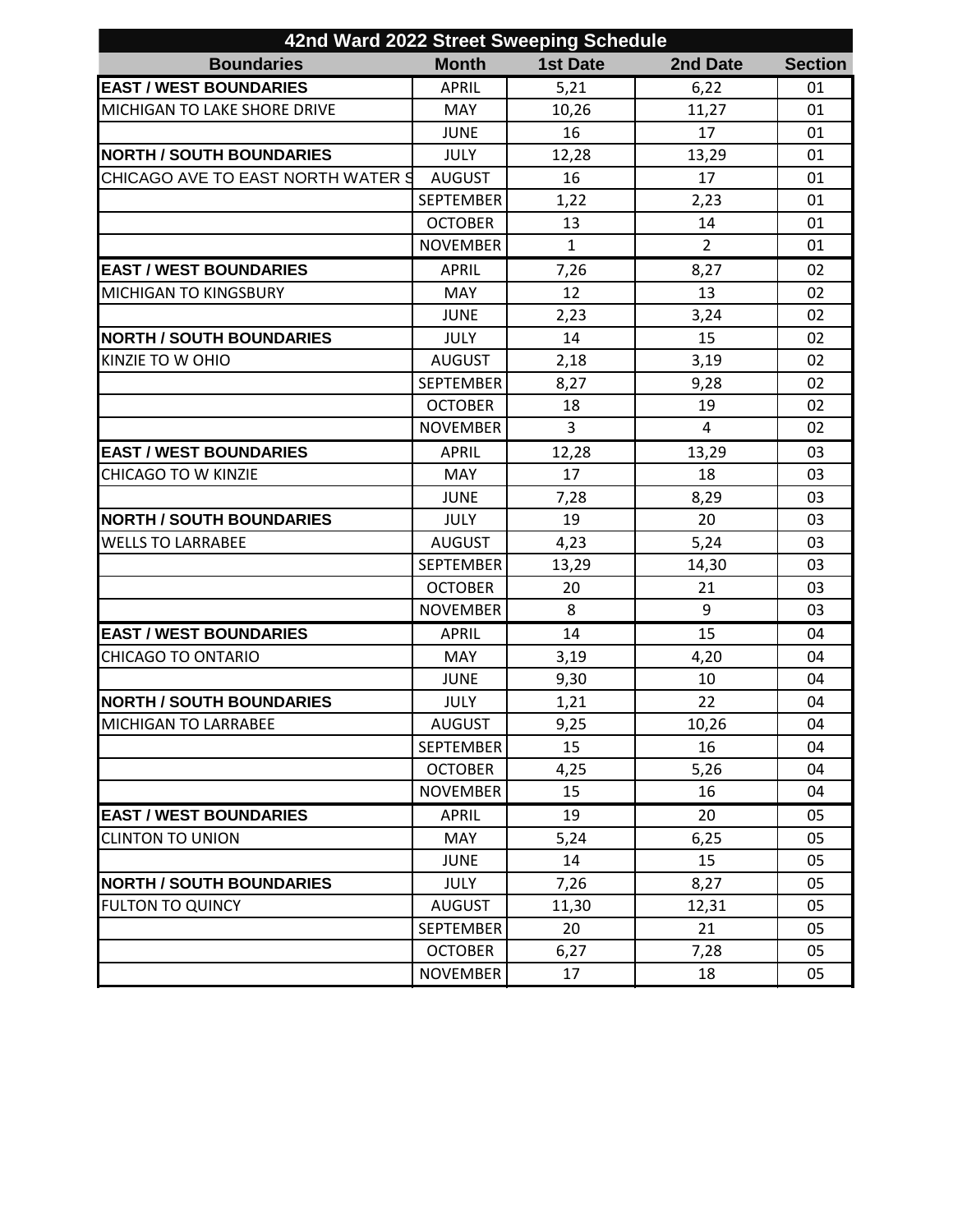| 42nd Ward 2022 Street Sweeping Schedule |                  |                 |                |                |  |  |  |
|-----------------------------------------|------------------|-----------------|----------------|----------------|--|--|--|
| <b>Boundaries</b>                       | <b>Month</b>     | <b>1st Date</b> | 2nd Date       | <b>Section</b> |  |  |  |
| <b>EAST / WEST BOUNDARIES</b>           | <b>APRIL</b>     | 5,21            | 6,22           | 01             |  |  |  |
| MICHIGAN TO LAKE SHORE DRIVE            | <b>MAY</b>       | 10,26           | 11,27          | 01             |  |  |  |
|                                         | <b>JUNE</b>      | 16              | 17             | 01             |  |  |  |
| <b>NORTH / SOUTH BOUNDARIES</b>         | <b>JULY</b>      | 12,28           | 13,29          | 01             |  |  |  |
| CHICAGO AVE TO EAST NORTH WATER 9       | <b>AUGUST</b>    | 16              | 17             | 01             |  |  |  |
|                                         | <b>SEPTEMBER</b> | 1,22            | 2,23           | 01             |  |  |  |
|                                         | <b>OCTOBER</b>   | 13              | 14             | 01             |  |  |  |
|                                         | <b>NOVEMBER</b>  | $\mathbf{1}$    | $\overline{2}$ | 01             |  |  |  |
| <b>EAST / WEST BOUNDARIES</b>           | <b>APRIL</b>     | 7,26            | 8,27           | 02             |  |  |  |
| <b>MICHIGAN TO KINGSBURY</b>            | <b>MAY</b>       | 12              | 13             | 02             |  |  |  |
|                                         | <b>JUNE</b>      | 2,23            | 3,24           | 02             |  |  |  |
| <b>NORTH / SOUTH BOUNDARIES</b>         | <b>JULY</b>      | 14              | 15             | 02             |  |  |  |
| KINZIE TO W OHIO                        | <b>AUGUST</b>    | 2,18            | 3,19           | 02             |  |  |  |
|                                         | <b>SEPTEMBER</b> | 8,27            | 9,28           | 02             |  |  |  |
|                                         | <b>OCTOBER</b>   | 18              | 19             | 02             |  |  |  |
|                                         | <b>NOVEMBER</b>  | 3               | 4              | 02             |  |  |  |
| <b>EAST / WEST BOUNDARIES</b>           | <b>APRIL</b>     | 12,28           | 13,29          | 03             |  |  |  |
| <b>CHICAGO TO W KINZIE</b>              | <b>MAY</b>       | 17              | 18             | 03             |  |  |  |
|                                         | <b>JUNE</b>      | 7,28            | 8,29           | 03             |  |  |  |
| <b>NORTH / SOUTH BOUNDARIES</b>         | <b>JULY</b>      | 19              | 20             | 03             |  |  |  |
| <b>WELLS TO LARRABEE</b>                | <b>AUGUST</b>    | 4,23            | 5,24           | 03             |  |  |  |
|                                         | <b>SEPTEMBER</b> | 13,29           | 14,30          | 03             |  |  |  |
|                                         | <b>OCTOBER</b>   | 20              | 21             | 03             |  |  |  |
|                                         | <b>NOVEMBER</b>  | 8               | 9              | 03             |  |  |  |
| <b>EAST / WEST BOUNDARIES</b>           | <b>APRIL</b>     | 14              | 15             | 04             |  |  |  |
| <b>CHICAGO TO ONTARIO</b>               | MAY              | 3,19            | 4,20           | 04             |  |  |  |
|                                         | <b>JUNE</b>      | 9,30            | 10             | 04             |  |  |  |
| <b>NORTH / SOUTH BOUNDARIES</b>         | <b>JULY</b>      | 1,21            | 22             | 04             |  |  |  |
| MICHIGAN TO LARRABEE                    | <b>AUGUST</b>    | 9,25            | 10,26          | 04             |  |  |  |
|                                         | <b>SEPTEMBER</b> | 15              | 16             | 04             |  |  |  |
|                                         | <b>OCTOBER</b>   | 4,25            | 5,26           | 04             |  |  |  |
|                                         | <b>NOVEMBER</b>  | 15              | 16             | 04             |  |  |  |
| <b>EAST / WEST BOUNDARIES</b>           | <b>APRIL</b>     | 19              | 20             | 05             |  |  |  |
| <b>CLINTON TO UNION</b>                 | <b>MAY</b>       | 5,24            | 6,25           | 05             |  |  |  |
|                                         | <b>JUNE</b>      | 14              | 15             | 05             |  |  |  |
| <b>NORTH / SOUTH BOUNDARIES</b>         | <b>JULY</b>      | 7,26            | 8,27           | 05             |  |  |  |
| <b>FULTON TO QUINCY</b>                 | <b>AUGUST</b>    | 11,30           | 12,31          | 05             |  |  |  |
|                                         | <b>SEPTEMBER</b> | 20              | 21             | 05             |  |  |  |
|                                         | <b>OCTOBER</b>   | 6,27            | 7,28           | 05             |  |  |  |
|                                         | <b>NOVEMBER</b>  | 17              | 18             | 05             |  |  |  |